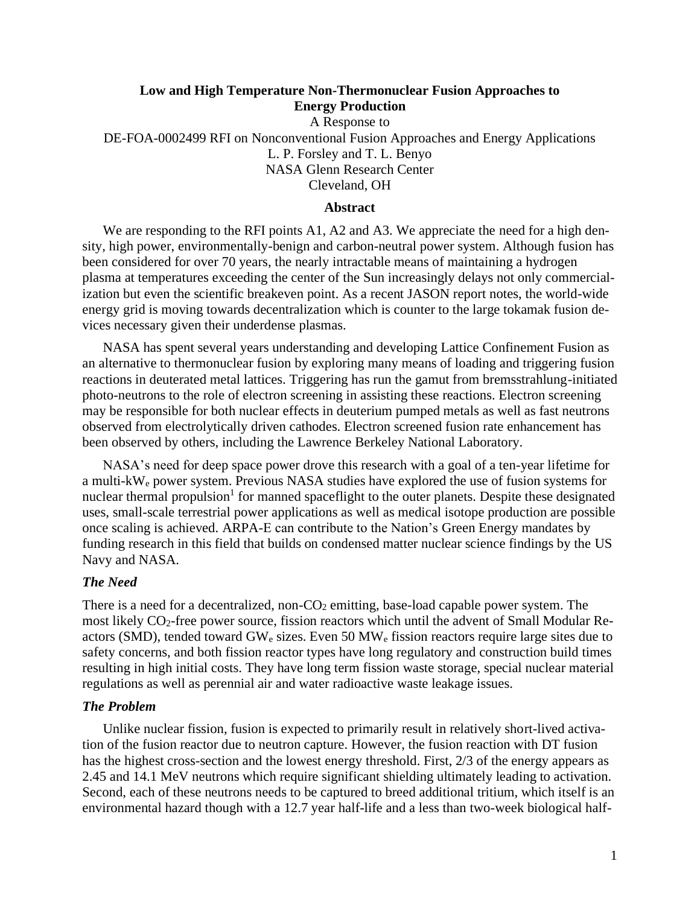# **Low and High Temperature Non-Thermonuclear Fusion Approaches to Energy Production**

A Response to DE-FOA-0002499 RFI on Nonconventional Fusion Approaches and Energy Applications L. P. Forsley and T. L. Benyo NASA Glenn Research Center Cleveland, OH

## **Abstract**

We are responding to the RFI points A1, A2 and A3. We appreciate the need for a high density, high power, environmentally-benign and carbon-neutral power system. Although fusion has been considered for over 70 years, the nearly intractable means of maintaining a hydrogen plasma at temperatures exceeding the center of the Sun increasingly delays not only commercialization but even the scientific breakeven point. As a recent JASON report notes, the world-wide energy grid is moving towards decentralization which is counter to the large tokamak fusion devices necessary given their underdense plasmas.

NASA has spent several years understanding and developing Lattice Confinement Fusion as an alternative to thermonuclear fusion by exploring many means of loading and triggering fusion reactions in deuterated metal lattices. Triggering has run the gamut from bremsstrahlung-initiated photo-neutrons to the role of electron screening in assisting these reactions. Electron screening may be responsible for both nuclear effects in deuterium pumped metals as well as fast neutrons observed from electrolytically driven cathodes. Electron screened fusion rate enhancement has been observed by others, including the Lawrence Berkeley National Laboratory.

NASA's need for deep space power drove this research with a goal of a ten-year lifetime for a multi-kW<sup>e</sup> power system. Previous NASA studies have explored the use of fusion systems for nuclear thermal propulsion<sup>1</sup> for manned spaceflight to the outer planets. Despite these designated uses, small-scale terrestrial power applications as well as medical isotope production are possible once scaling is achieved. ARPA-E can contribute to the Nation's Green Energy mandates by funding research in this field that builds on condensed matter nuclear science findings by the US Navy and NASA.

### *The Need*

There is a need for a decentralized, non- $CO<sub>2</sub>$  emitting, base-load capable power system. The most likely CO<sub>2</sub>-free power source, fission reactors which until the advent of Small Modular Reactors (SMD), tended toward  $GW_e$  sizes. Even 50  $MW_e$  fission reactors require large sites due to safety concerns, and both fission reactor types have long regulatory and construction build times resulting in high initial costs. They have long term fission waste storage, special nuclear material regulations as well as perennial air and water radioactive waste leakage issues.

#### *The Problem*

Unlike nuclear fission, fusion is expected to primarily result in relatively short-lived activation of the fusion reactor due to neutron capture. However, the fusion reaction with DT fusion has the highest cross-section and the lowest energy threshold. First, 2/3 of the energy appears as 2.45 and 14.1 MeV neutrons which require significant shielding ultimately leading to activation. Second, each of these neutrons needs to be captured to breed additional tritium, which itself is an environmental hazard though with a 12.7 year half-life and a less than two-week biological half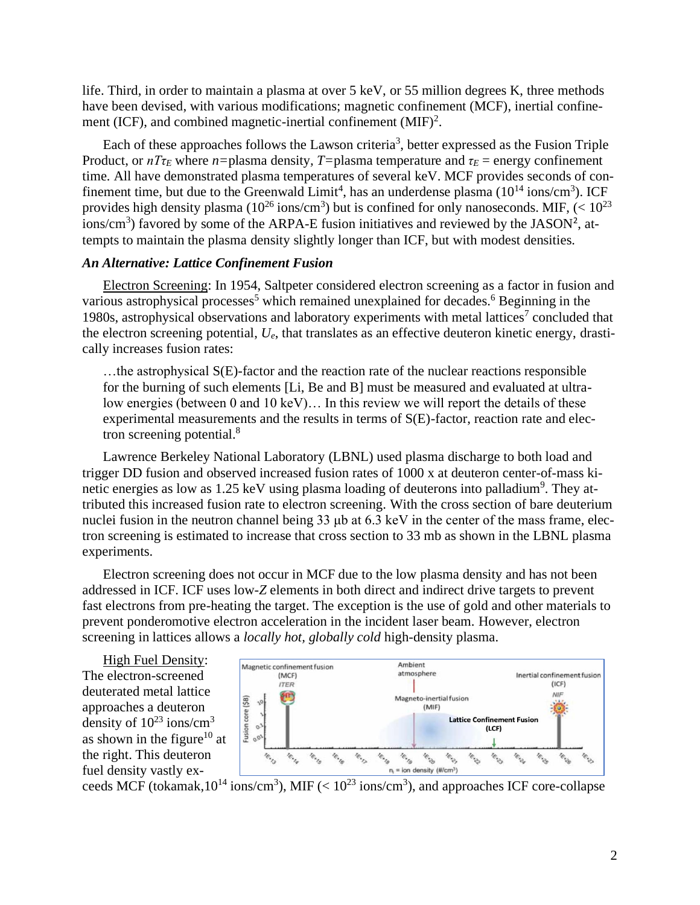life. Third, in order to maintain a plasma at over 5 keV, or 55 million degrees K, three methods have been devised, with various modifications; magnetic confinement (MCF), inertial confinement (ICF), and combined magnetic-inertial confinement  $(MIF)^2$ .

<span id="page-1-0"></span>Each of these approaches follows the Lawson criteria<sup>3</sup>, better expressed as the Fusion Triple Product, or  $nT\tau_E$  where  $n=$  plasma density,  $T=$  plasma temperature and  $\tau_E$  = energy confinement time*.* All have demonstrated plasma temperatures of several keV. MCF provides seconds of confinement time, but due to the Greenwald Limit<sup>4</sup>, has an underdense plasma  $(10^{14} \text{ ions/cm}^3)$ . ICF provides high density plasma (10<sup>26</sup> ions/cm<sup>3</sup>) but is confined for only nanoseconds. MIF,  $\left($  < 10<sup>23</sup> ions/cm<sup>3</sup>) favored by some of the ARPA-E fusion initiatives and reviewed by the JASON<sup>[2](#page-1-0)</sup>, attempts to maintain the plasma density slightly longer than ICF, but with modest densities.

# *An Alternative: Lattice Confinement Fusion*

Electron Screening: In 1954, Saltpeter considered electron screening as a factor in fusion and various astrophysical processes<sup>5</sup> which remained unexplained for decades.<sup>6</sup> Beginning in the 1980s, astrophysical observations and laboratory experiments with metal lattices<sup>7</sup> concluded that the electron screening potential, *Ue*, that translates as an effective deuteron kinetic energy, drastically increases fusion rates:

…the astrophysical S(E)-factor and the reaction rate of the nuclear reactions responsible for the burning of such elements [Li, Be and B] must be measured and evaluated at ultralow energies (between 0 and 10 keV)… In this review we will report the details of these experimental measurements and the results in terms of S(E)-factor, reaction rate and electron screening potential.<sup>8</sup>

Lawrence Berkeley National Laboratory (LBNL) used plasma discharge to both load and trigger DD fusion and observed increased fusion rates of 1000 x at deuteron center-of-mass kinetic energies as low as  $1.25 \text{ keV}$  using plasma loading of deuterons into palladium<sup>9</sup>. They attributed this increased fusion rate to electron screening. With the cross section of bare deuterium nuclei fusion in the neutron channel being 33 μb at 6.3 keV in the center of the mass frame, electron screening is estimated to increase that cross section to 33 mb as shown in the LBNL plasma experiments.

Electron screening does not occur in MCF due to the low plasma density and has not been addressed in ICF. ICF uses low-*Z* elements in both direct and indirect drive targets to prevent fast electrons from pre-heating the target. The exception is the use of gold and other materials to prevent ponderomotive electron acceleration in the incident laser beam. However, electron screening in lattices allows a *locally hot, globally cold* high-density plasma.

High Fuel Density: The electron-screened deuterated metal lattice approaches a deuteron density of  $10^{23}$  ions/cm<sup>3</sup> as shown in the figure<sup>10</sup> at the right. This deuteron fuel density vastly ex-



ceeds MCF (tokamak,  $10^{14}$  ions/cm<sup>3</sup>), MIF ( $\lt 10^{23}$  ions/cm<sup>3</sup>), and approaches ICF core-collapse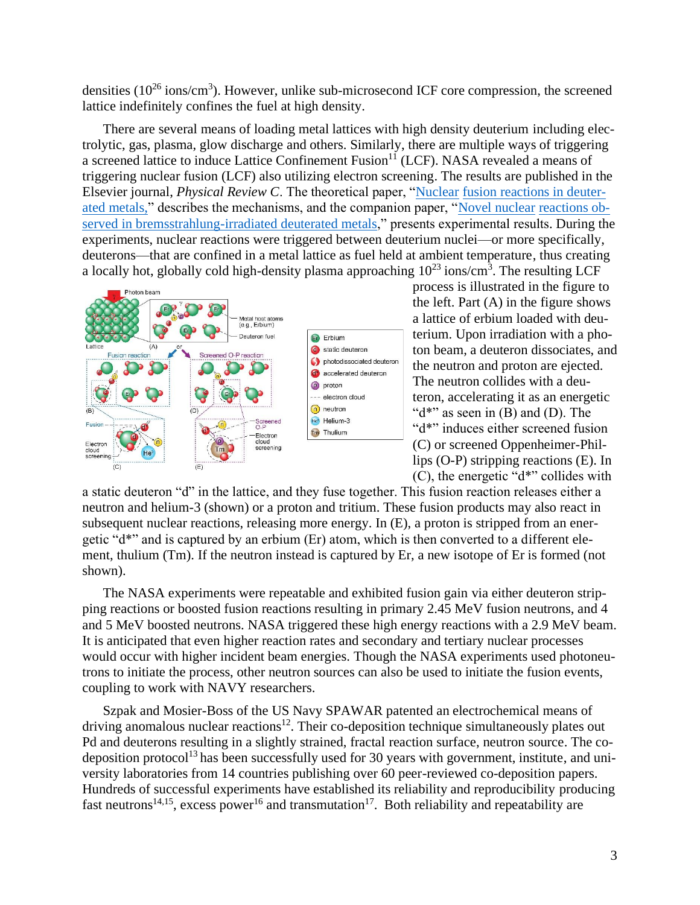densities  $(10^{26} \text{ ions/cm}^3)$ . However, unlike sub-microsecond ICF core compression, the screened lattice indefinitely confines the fuel at high density.

There are several means of loading metal lattices with high density deuterium including electrolytic, gas, plasma, glow discharge and others. Similarly, there are multiple ways of triggering a screened lattice to induce Lattice Confinement Fusion<sup>11</sup> (LCF). NASA revealed a means of triggering nuclear fusion (LCF) also utilizing electron screening. The results are published in the Elsevier journal, *Physical Review C*. The theoretical paper, ["Nuclear](https://journals.aps.org/prc/abstract/10.1103/PhysRevC.101.044609) [fusion reactions in deuter](https://journals.aps.org/prc/abstract/10.1103/PhysRevC.101.044609)[ated metals,"](https://journals.aps.org/prc/abstract/10.1103/PhysRevC.101.044609) describes the mechanisms, and the companion paper, ["Novel nuclear](https://journals.aps.org/prc/abstract/10.1103/PhysRevC.101.044610) [reactions ob](https://journals.aps.org/prc/abstract/10.1103/PhysRevC.101.044610)[served in bremsstrahlung-irradiated deuterated metals,](https://journals.aps.org/prc/abstract/10.1103/PhysRevC.101.044610)" presents experimental results. During the experiments, nuclear reactions were triggered between deuterium nuclei—or more specifically, deuterons—that are confined in a metal lattice as fuel held at ambient temperature, thus creating a locally hot, globally cold high-density plasma approaching  $10^{23}$  ions/cm<sup>3</sup>. The resulting LCF



process is illustrated in the figure to the left. Part  $(A)$  in the figure shows a lattice of erbium loaded with deuterium. Upon irradiation with a photon beam, a deuteron dissociates, and the neutron and proton are ejected. The neutron collides with a deuteron, accelerating it as an energetic " $d^*$ " as seen in (B) and (D). The "d\*" induces either screened fusion (C) or screened Oppenheimer-Phillips (O-P) stripping reactions (E). In (C), the energetic "d\*" collides with

a static deuteron "d" in the lattice, and they fuse together. This fusion reaction releases either a neutron and helium-3 (shown) or a proton and tritium. These fusion products may also react in subsequent nuclear reactions, releasing more energy. In (E), a proton is stripped from an energetic "d\*" and is captured by an erbium (Er) atom, which is then converted to a different element, thulium (Tm). If the neutron instead is captured by Er, a new isotope of Er is formed (not shown).

The NASA experiments were repeatable and exhibited fusion gain via either deuteron stripping reactions or boosted fusion reactions resulting in primary 2.45 MeV fusion neutrons, and 4 and 5 MeV boosted neutrons. NASA triggered these high energy reactions with a 2.9 MeV beam. It is anticipated that even higher reaction rates and secondary and tertiary nuclear processes would occur with higher incident beam energies. Though the NASA experiments used photoneutrons to initiate the process, other neutron sources can also be used to initiate the fusion events, coupling to work with NAVY researchers.

Szpak and Mosier-Boss of the US Navy SPAWAR patented an electrochemical means of driving anomalous nuclear reactions<sup>12</sup>. Their co-deposition technique simultaneously plates out Pd and deuterons resulting in a slightly strained, fractal reaction surface, neutron source. The codeposition protocol<sup>13</sup> has been successfully used for 30 years with government, institute, and university laboratories from 14 countries publishing over 60 peer-reviewed co-deposition papers. Hundreds of successful experiments have established its reliability and reproducibility producing fast neutrons<sup>14,15</sup>, excess power<sup>16</sup> and transmutation<sup>17</sup>. Both reliability and repeatability are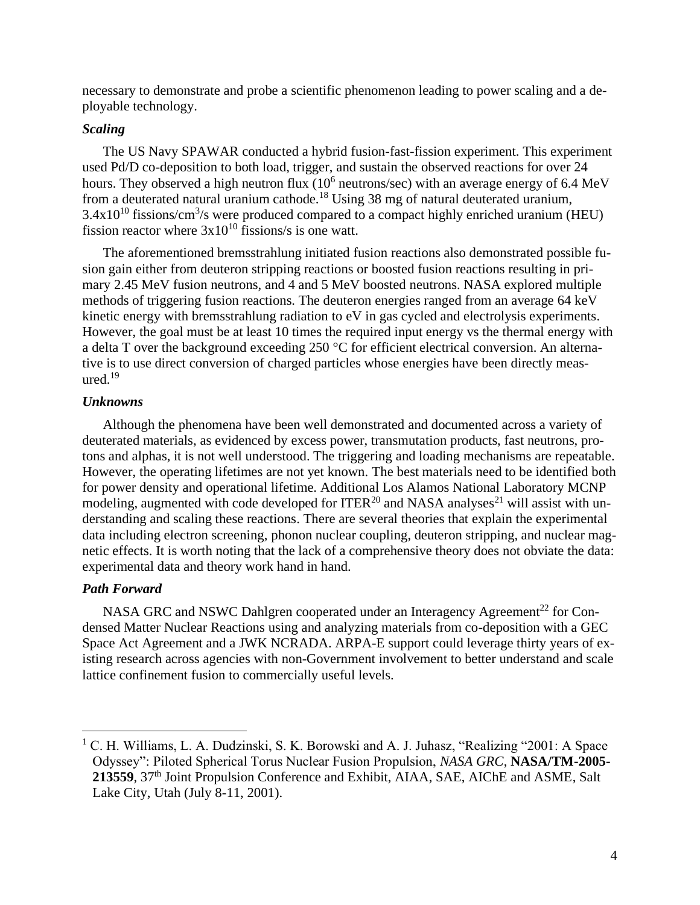necessary to demonstrate and probe a scientific phenomenon leading to power scaling and a deployable technology.

# *Scaling*

The US Navy SPAWAR conducted a hybrid fusion-fast-fission experiment. This experiment used Pd/D co-deposition to both load, trigger, and sustain the observed reactions for over 24 hours. They observed a high neutron flux  $(10^6 \text{ neutrons/sec})$  with an average energy of 6.4 MeV from a deuterated natural uranium cathode.<sup>18</sup> Using 38 mg of natural deuterated uranium,  $3.4x10^{10}$  fissions/cm<sup>3</sup>/s were produced compared to a compact highly enriched uranium (HEU) fission reactor where  $3x10^{10}$  fissions/s is one watt.

The aforementioned bremsstrahlung initiated fusion reactions also demonstrated possible fusion gain either from deuteron stripping reactions or boosted fusion reactions resulting in primary 2.45 MeV fusion neutrons, and 4 and 5 MeV boosted neutrons. NASA explored multiple methods of triggering fusion reactions. The deuteron energies ranged from an average 64 keV kinetic energy with bremsstrahlung radiation to eV in gas cycled and electrolysis experiments. However, the goal must be at least 10 times the required input energy vs the thermal energy with a delta T over the background exceeding 250 °C for efficient electrical conversion. An alternative is to use direct conversion of charged particles whose energies have been directly measured. $19$ 

## *Unknowns*

Although the phenomena have been well demonstrated and documented across a variety of deuterated materials, as evidenced by excess power, transmutation products, fast neutrons, protons and alphas, it is not well understood. The triggering and loading mechanisms are repeatable. However, the operating lifetimes are not yet known. The best materials need to be identified both for power density and operational lifetime. Additional Los Alamos National Laboratory MCNP modeling, augmented with code developed for ITER<sup>20</sup> and NASA analyses<sup>21</sup> will assist with understanding and scaling these reactions. There are several theories that explain the experimental data including electron screening, phonon nuclear coupling, deuteron stripping, and nuclear magnetic effects. It is worth noting that the lack of a comprehensive theory does not obviate the data: experimental data and theory work hand in hand.

## *Path Forward*

NASA GRC and NSWC Dahlgren cooperated under an Interagency Agreement<sup>22</sup> for Condensed Matter Nuclear Reactions using and analyzing materials from co-deposition with a GEC Space Act Agreement and a JWK NCRADA. ARPA-E support could leverage thirty years of existing research across agencies with non-Government involvement to better understand and scale lattice confinement fusion to commercially useful levels.

<sup>&</sup>lt;sup>1</sup> C. H. Williams, L. A. Dudzinski, S. K. Borowski and A. J. Juhasz, "Realizing "2001: A Space Odyssey": Piloted Spherical Torus Nuclear Fusion Propulsion, *NASA GRC*, **NASA/TM-2005- 213559**, 37th Joint Propulsion Conference and Exhibit, AIAA, SAE, AIChE and ASME, Salt Lake City, Utah (July 8-11, 2001).